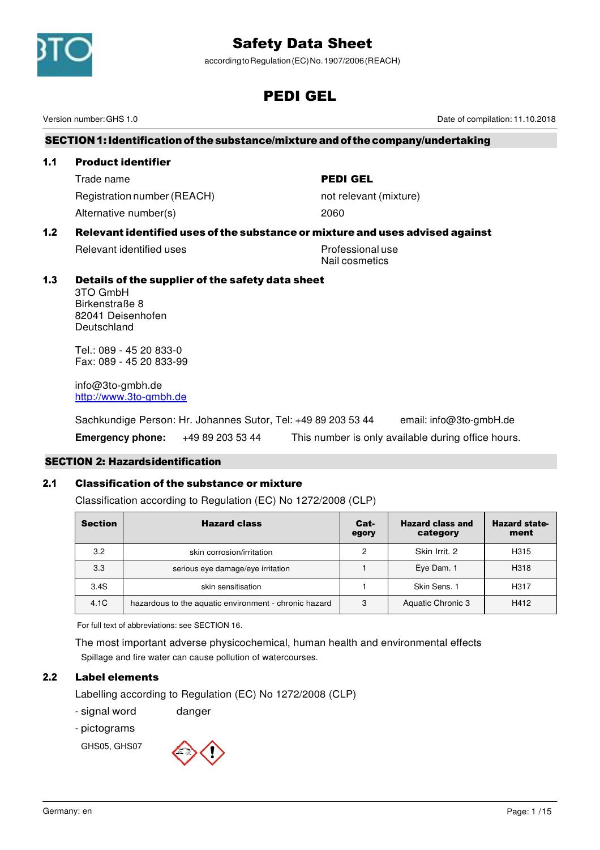

according to Regulation (EC) No. 1907/2006 (REACH)

# PEDI GEL

Version number: GHS 1.0 Date of compilation: 11.10.2018

# SECTION 1: Identification of the substance/mixture and of the company/undertaking

## 1.1 Product identifier

Trade name **PEDI GEL** Registration number (REACH) not relevant (mixture) Alternative number(s) 2060

# 1.2 Relevant identified uses of the substance or mixture and uses advised against

Relevant identified uses example and the Professional use

Nail cosmetics

# 1.3 Details of the supplier of the safety data sheet

3TO GmbH Birkenstraße 8 82041 Deisenhofen Deutschland

Tel.: 089 - 45 20 833-0 Fax: 089 - 45 20 833-99

info@3to-gmbh.de http://www.3to-gmbh.de

Sachkundige Person: Hr. Johannes Sutor, Tel: +49 89 203 53 44 email: info@3to-gmbH.de **Emergency phone:** +49 89 203 53 44 This number is only available during office hours.

# SECTION 2: Hazards identification

# 2.1 Classification of the substance or mixture

Classification according to Regulation (EC) No 1272/2008 (CLP)

| <b>Section</b> | <b>Hazard class</b>                                   | Cat-<br>egory | <b>Hazard class and</b><br>category | <b>Hazard state-</b><br>ment |
|----------------|-------------------------------------------------------|---------------|-------------------------------------|------------------------------|
| 3.2            | skin corrosion/irritation                             | 2             | Skin Irrit, 2                       | H315                         |
| 3.3            | serious eye damage/eye irritation                     |               | Eye Dam. 1                          | H318                         |
| 3.4S           | skin sensitisation                                    |               | Skin Sens, 1                        | H <sub>3</sub> 17            |
| 4.1C           | hazardous to the aquatic environment - chronic hazard | 3             | <b>Aquatic Chronic 3</b>            | H412                         |

For full text of abbreviations: see SECTION 16.

The most important adverse physicochemical, human health and environmental effects Spillage and fire water can cause pollution of watercourses.

# 2.2 Label elements

Labelling according to Regulation (EC) No 1272/2008 (CLP)

- signal word danger
- pictograms

GHS05, GHS07

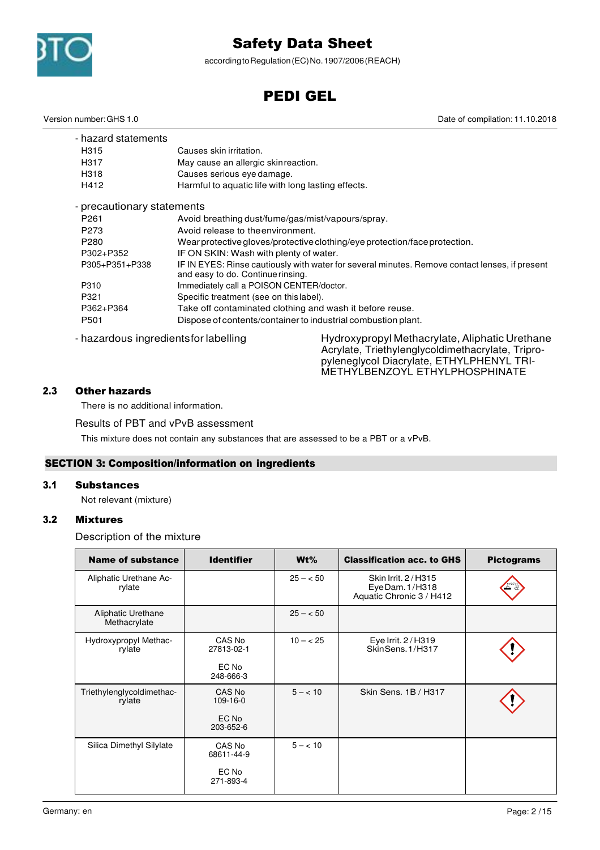

according to Regulation (EC) No. 1907/2006 (REACH)

# PEDI GEL

Date of compilation: 11.10.2018

| Version number: GHS 1.0 |  |
|-------------------------|--|
|-------------------------|--|

| - hazard statements                   |                                                                            |                                                                                                |  |  |  |
|---------------------------------------|----------------------------------------------------------------------------|------------------------------------------------------------------------------------------------|--|--|--|
| H315                                  | Causes skin irritation.                                                    |                                                                                                |  |  |  |
| H317                                  | May cause an allergic skinreaction.                                        |                                                                                                |  |  |  |
| H318                                  | Causes serious eye damage.                                                 |                                                                                                |  |  |  |
| H412                                  | Harmful to aquatic life with long lasting effects.                         |                                                                                                |  |  |  |
| - precautionary statements            |                                                                            |                                                                                                |  |  |  |
| P <sub>261</sub>                      | Avoid breathing dust/fume/gas/mist/vapours/spray.                          |                                                                                                |  |  |  |
| P273                                  | Avoid release to the environment.                                          |                                                                                                |  |  |  |
| P <sub>280</sub>                      | Wear protective gloves/protective clothing/eye protection/face protection. |                                                                                                |  |  |  |
| P302+P352                             | IF ON SKIN: Wash with plenty of water.                                     |                                                                                                |  |  |  |
| P305+P351+P338                        | and easy to do. Continue rinsing.                                          | IF IN EYES: Rinse cautiously with water for several minutes. Remove contact lenses, if present |  |  |  |
| P310                                  | Immediately call a POISON CENTER/doctor.                                   |                                                                                                |  |  |  |
| P321                                  | Specific treatment (see on this label).                                    |                                                                                                |  |  |  |
| P362+P364                             | Take off contaminated clothing and wash it before reuse.                   |                                                                                                |  |  |  |
| P501                                  |                                                                            | Dispose of contents/container to industrial combustion plant.                                  |  |  |  |
| - hazardous ingredients for labelling |                                                                            | Hydroxypropyl Methacrylate, Aliphatic Urethane                                                 |  |  |  |

Acrylate, Triethylenglycoldimethacrylate, Tripropyleneglycol Diacrylate, ETHYLPHENYL TRI-METHYLBENZOYL ETHYLPHOSPHINATE

# 2.3 Other hazards

There is no additional information.

Results of PBT and vPvB assessment

This mixture does not contain any substances that are assessed to be a PBT or a vPvB.

# SECTION 3: Composition/information on ingredients

# 3.1 Substances

Not relevant (mixture)

# 3.2 Mixtures

Description of the mixture

| <b>Name of substance</b>            | <b>Identifier</b>                          | $Wt\%$     | <b>Classification acc. to GHS</b>                                 | <b>Pictograms</b> |
|-------------------------------------|--------------------------------------------|------------|-------------------------------------------------------------------|-------------------|
| Aliphatic Urethane Ac-<br>rylate    |                                            | $25 - 50$  | Skin Irrit, 2/H315<br>Eye Dam. 1/H318<br>Aquatic Chronic 3 / H412 |                   |
| Aliphatic Urethane<br>Methacrylate  |                                            | $25 - 50$  |                                                                   |                   |
| Hydroxypropyl Methac-<br>rylate     | CAS No<br>27813-02-1<br>EC No<br>248-666-3 | $10 - 25$  | Eye Irrit. 2/H319<br>SkinSens.1/H317                              |                   |
| Triethylenglycoldimethac-<br>rylate | CAS No<br>109-16-0<br>EC No<br>203-652-6   | $5 - < 10$ | Skin Sens, 1B / H317                                              |                   |
| Silica Dimethyl Silylate            | CAS No<br>68611-44-9<br>EC No<br>271-893-4 | $5 - < 10$ |                                                                   |                   |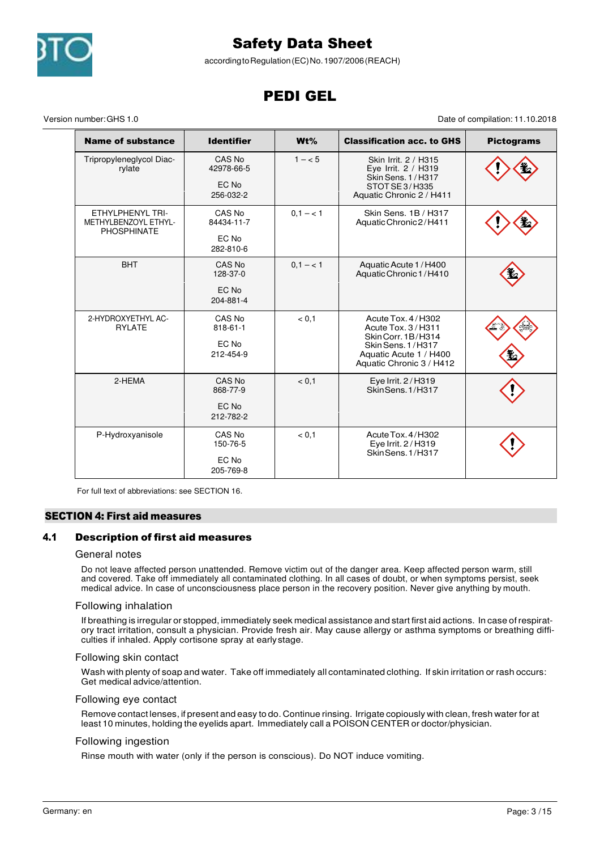

according to Regulation (EC) No. 1907/2006 (REACH)

# PEDI GEL

Version number: GHS 1.0 Date of compilation: 11.10.2018

| <b>Name of substance</b>                                       | <b>Identifier</b>                          | $Wt\%$     | <b>Classification acc. to GHS</b>                                                                                                       | <b>Pictograms</b> |
|----------------------------------------------------------------|--------------------------------------------|------------|-----------------------------------------------------------------------------------------------------------------------------------------|-------------------|
| Tripropyleneglycol Diac-<br>rylate                             | CAS No<br>42978-66-5<br>EC No<br>256-032-2 | $1 - 5$    | Skin Irrit. 2 / H315<br>Eye Irrit. 2 / H319<br>Skin Sens. 1 / H317<br>STOTSE3/H335<br>Aquatic Chronic 2 / H411                          |                   |
| ETHYLPHENYL TRI-<br>METHYLBENZOYL ETHYL-<br><b>PHOSPHINATE</b> | CAS No<br>84434-11-7<br>EC No<br>282-810-6 | $0, 1 - 1$ | Skin Sens. 1B / H317<br>Aquatic Chronic 2/H411                                                                                          |                   |
| <b>BHT</b>                                                     | CAS No<br>128-37-0<br>EC No<br>204-881-4   | $0, 1 - 1$ | Aquatic Acute 1/H400<br>Aquatic Chronic 1/H410                                                                                          |                   |
| 2-HYDROXYETHYL AC-<br><b>RYLATE</b>                            | CAS No<br>818-61-1<br>EC No<br>212-454-9   | < 0.1      | Acute Tox, 4/H302<br>Acute Tox. 3/H311<br>Skin Corr. 1B/H314<br>Skin Sens. 1/H317<br>Aquatic Acute 1 / H400<br>Aquatic Chronic 3 / H412 |                   |
| 2-HEMA                                                         | CAS No<br>868-77-9<br>EC No<br>212-782-2   | < 0.1      | Eye Irrit. 2/H319<br>SkinSens. 1/H317                                                                                                   |                   |
| P-Hydroxyanisole                                               | CAS No<br>150-76-5<br>EC No<br>205-769-8   | < 0.1      | Acute Tox. 4/H302<br>Eye Irrit. 2/H319<br>SkinSens. 1/H317                                                                              |                   |

For full text of abbreviations: see SECTION 16.

# SECTION 4: First aid measures

# 4.1 Description of first aid measures

#### General notes

Do not leave affected person unattended. Remove victim out of the danger area. Keep affected person warm, still and covered. Take off immediately all contaminated clothing. In all cases of doubt, or when symptoms persist, seek medical advice. In case of unconsciousness place person in the recovery position. Never give anything by mouth.

#### Following inhalation

If breathing is irregular or stopped, immediately seek medical assistance and start first aid actions. In case of respiratory tract irritation, consult a physician. Provide fresh air. May cause allergy or asthma symptoms or breathing difficulties if inhaled. Apply cortisone spray at early stage.

#### Following skin contact

Wash with plenty of soap and water. Take off immediately all contaminated clothing. If skin irritation or rash occurs: Get medical advice/attention.

#### Following eye contact

Remove contact lenses, if present and easy to do. Continue rinsing. Irrigate copiously with clean, fresh water for at least 10 minutes, holding the eyelids apart. Immediately call a POISON CENTER or doctor/physician.

#### Following ingestion

Rinse mouth with water (only if the person is conscious). Do NOT induce vomiting.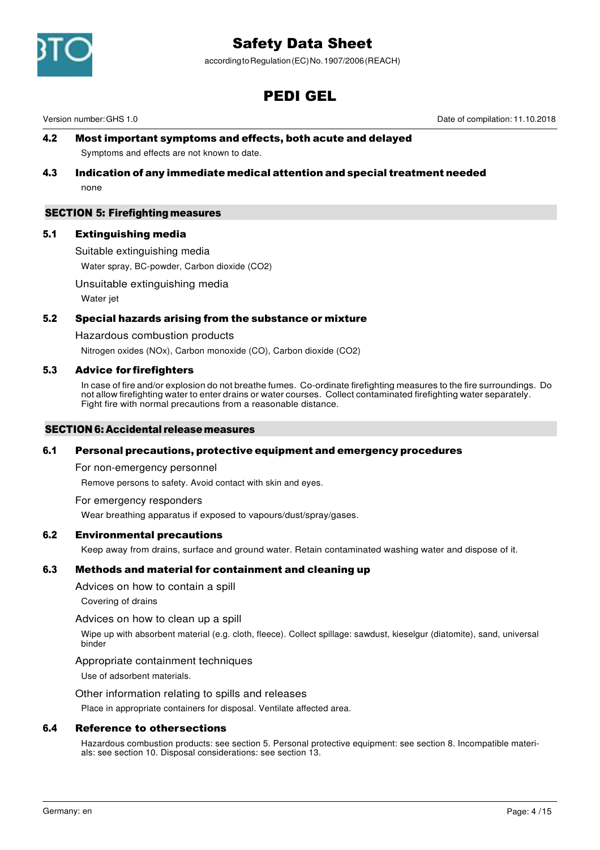

according to Regulation (EC) No. 1907/2006 (REACH)

# PEDI GEL

Version number: GHS 1.0 Date of compilation: 11.10.2018

# 4.2 Most important symptoms and effects, both acute and delayed

Symptoms and effects are not known to date.

## 4.3 Indication of any immediate medical attention and special treatment needed none

## SECTION 5: Firefighting measures

# 5.1 Extinguishing media

Suitable extinguishing media

Water spray, BC-powder, Carbon dioxide (CO2)

#### Unsuitable extinguishing media

Water jet

## 5.2 Special hazards arising from the substance or mixture

Hazardous combustion products

Nitrogen oxides (NOx), Carbon monoxide (CO), Carbon dioxide (CO2)

## 5.3 Advice for firefighters

In case of fire and/or explosion do not breathe fumes. Co-ordinate firefighting measures to the fire surroundings. Do not allow firefighting water to enter drains or water courses. Collect contaminated firefighting water separately. Fight fire with normal precautions from a reasonable distance.

#### SECTION 6: Accidental release measures

## 6.1 Personal precautions, protective equipment and emergency procedures

For non-emergency personnel

Remove persons to safety. Avoid contact with skin and eyes.

For emergency responders

Wear breathing apparatus if exposed to vapours/dust/spray/gases.

## 6.2 Environmental precautions

Keep away from drains, surface and ground water. Retain contaminated washing water and dispose of it.

## 6.3 Methods and material for containment and cleaning up

Advices on how to contain a spill

Covering of drains

#### Advices on how to clean up a spill

Wipe up with absorbent material (e.g. cloth, fleece). Collect spillage: sawdust, kieselgur (diatomite), sand, universal binder

#### Appropriate containment techniques

Use of adsorbent materials.

#### Other information relating to spills and releases

Place in appropriate containers for disposal. Ventilate affected area.

#### 6.4 Reference to other sections

Hazardous combustion products: see section 5. Personal protective equipment: see section 8. Incompatible materials: see section 10. Disposal considerations: see section 13.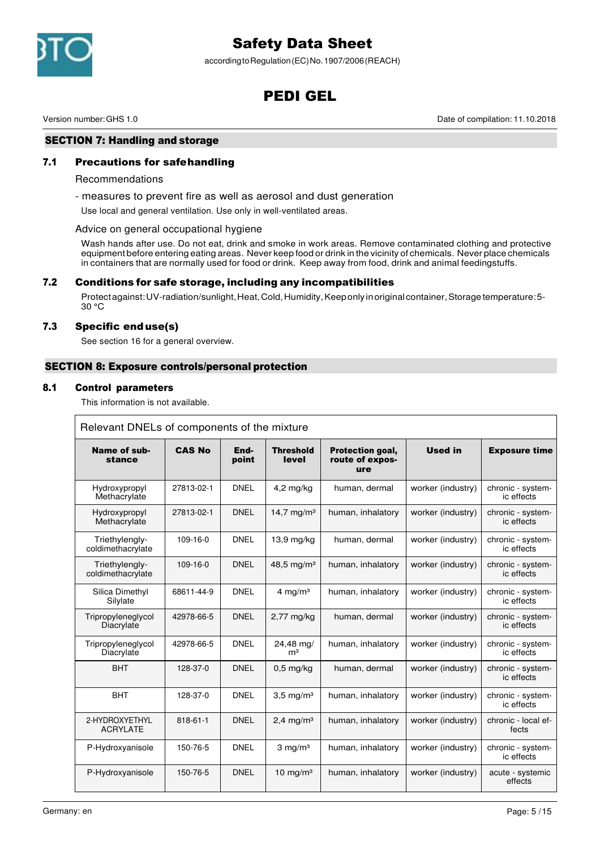

according to Regulation (EC) No. 1907/2006 (REACH)

# PEDI GEL

Version number: GHS 1.0 Date of compilation: 11.10.2018

# SECTION 7: Handling and storage

# 7.1 Precautions for safe handling

#### Recommendations

- measures to prevent fire as well as aerosol and dust generation

Use local and general ventilation. Use only in well-ventilated areas.

#### Advice on general occupational hygiene

Wash hands after use. Do not eat, drink and smoke in work areas. Remove contaminated clothing and protective equipment before entering eating areas. Never keep food or drink in the vicinity of chemicals. Never place chemicals in containers that are normally used for food or drink. Keep away from food, drink and animal feedingstuffs.

## 7.2 Conditions for safe storage, including any incompatibilities

Protect against: UV-radiation/sunlight, Heat, Cold, Humidity, Keep only in original container, Storage temperature: 5- 30 °C

#### 7.3 Specific end use(s)

See section 16 for a general overview.

## SECTION 8: Exposure controls/personal protection

#### 8.1 Control parameters

This information is not available.

| Relevant DNELs of components of the mixture |                |               |                             |                                            |                   |                                 |  |
|---------------------------------------------|----------------|---------------|-----------------------------|--------------------------------------------|-------------------|---------------------------------|--|
| Name of sub-<br>stance                      | <b>CAS No</b>  | End-<br>point | <b>Threshold</b><br>level   | Protection goal,<br>route of expos-<br>ure | <b>Used in</b>    | <b>Exposure time</b>            |  |
| Hydroxypropyl<br>Methacrylate               | 27813-02-1     | <b>DNEL</b>   | $4,2$ mg/kg                 | human, dermal                              | worker (industry) | chronic - system-<br>ic effects |  |
| Hydroxypropyl<br>Methacrylate               | 27813-02-1     | <b>DNEL</b>   | 14,7 mg/m <sup>3</sup>      | human, inhalatory                          | worker (industry) | chronic - system-<br>ic effects |  |
| Triethylengly-<br>coldimethacrylate         | $109-16-0$     | <b>DNEL</b>   | $13,9$ mg/kg                | human, dermal                              | worker (industry) | chronic - system-<br>ic effects |  |
| Triethylengly-<br>coldimethacrylate         | $109 - 16 - 0$ | <b>DNEL</b>   | 48,5 mg/m <sup>3</sup>      | human, inhalatory                          | worker (industry) | chronic - system-<br>ic effects |  |
| Silica Dimethyl<br>Silylate                 | 68611-44-9     | <b>DNEL</b>   | 4 mg/m $3$                  | human, inhalatory                          | worker (industry) | chronic - system-<br>ic effects |  |
| Tripropyleneglycol<br>Diacrylate            | 42978-66-5     | <b>DNEL</b>   | $2,77$ mg/kg                | human, dermal                              | worker (industry) | chronic - system-<br>ic effects |  |
| Tripropyleneglycol<br>Diacrylate            | 42978-66-5     | <b>DNEL</b>   | 24,48 mg/<br>m <sup>3</sup> | human, inhalatory                          | worker (industry) | chronic - system-<br>ic effects |  |
| <b>BHT</b>                                  | 128-37-0       | <b>DNEL</b>   | $0,5$ mg/kg                 | human, dermal                              | worker (industry) | chronic - system-<br>ic effects |  |
| <b>BHT</b>                                  | 128-37-0       | <b>DNEL</b>   | $3,5 \text{ mg/m}^3$        | human, inhalatory                          | worker (industry) | chronic - system-<br>ic effects |  |
| 2-HYDROXYETHYL<br><b>ACRYLATE</b>           | $818 - 61 - 1$ | <b>DNEL</b>   | $2.4 \text{ mg/m}^3$        | human, inhalatory                          | worker (industry) | chronic - local ef-<br>fects    |  |
| P-Hydroxyanisole                            | 150-76-5       | <b>DNEL</b>   | $3$ mg/m <sup>3</sup>       | human, inhalatory                          | worker (industry) | chronic - system-<br>ic effects |  |
| P-Hydroxyanisole                            | 150-76-5       | <b>DNEL</b>   | 10 mg/m $3$                 | human, inhalatory                          | worker (industry) | acute - systemic<br>effects     |  |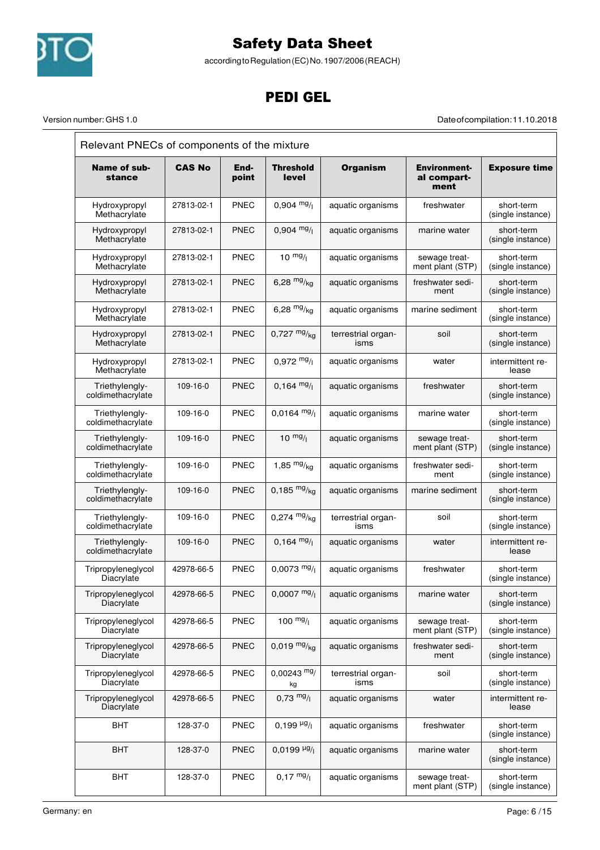

according to Regulation (EC) No. 1907/2006 (REACH)

# PEDI GEL

Version number: GHS 1.0 Date of compilation: 11.10.2018

| Name of sub-<br>stance                  | <b>CAS No</b>  | End-<br>point | Threshold<br>level                    | <b>Organism</b>            | <b>Environment-</b><br>al compart-<br>ment | <b>Exposure time</b>            |
|-----------------------------------------|----------------|---------------|---------------------------------------|----------------------------|--------------------------------------------|---------------------------------|
| Hydroxypropyl<br>Methacrylate           | 27813-02-1     | <b>PNEC</b>   | $0.904$ mg/                           | aquatic organisms          | freshwater                                 | short-term<br>(single instance) |
| Hydroxypropyl<br>Methacrylate           | 27813-02-1     | <b>PNEC</b>   | $0.904$ mg/                           | aquatic organisms          | marine water                               | short-term<br>(single instance) |
| Hydroxypropyl<br>Methacrylate           | 27813-02-1     | <b>PNEC</b>   | $10 \frac{mg}{l}$                     | aquatic organisms          | sewage treat-<br>ment plant (STP)          | short-term<br>(single instance) |
| Hydroxypropyl<br>Methacrylate           | 27813-02-1     | <b>PNEC</b>   | 6,28 $mg/kg$                          | aquatic organisms          | freshwater sedi-<br>ment                   | short-term<br>(single instance) |
| Hydroxypropyl<br>Methacrylate           | 27813-02-1     | <b>PNEC</b>   | 6,28 $mg/kq$                          | aquatic organisms          | marine sediment                            | short-term<br>(single instance) |
| Hydroxypropyl<br>Methacrylate           | 27813-02-1     | <b>PNEC</b>   | $0,727 \frac{mg}{kg}$                 | terrestrial organ-<br>isms | soil                                       | short-term<br>(single instance) |
| Hydroxypropyl<br>Methacrylate           | 27813-02-1     | <b>PNEC</b>   | $0.972 \frac{mg}{l}$                  | aquatic organisms          | water                                      | intermittent re-<br>lease       |
| Triethylengly-<br>coldimethacrylate     | 109-16-0       | <b>PNEC</b>   | $0,164 \text{ mg}/1$                  | aquatic organisms          | freshwater                                 | short-term<br>(single instance) |
| Triethylengly-<br>coldimethacrylate     | $109 - 16 - 0$ | <b>PNEC</b>   | $0,0164$ mg/                          | aquatic organisms          | marine water                               | short-term<br>(single instance) |
| Triethylengly-<br>coldimethacrylate     | 109-16-0       | <b>PNEC</b>   | $10^{mg}$ /                           | aquatic organisms          | sewage treat-<br>ment plant (STP)          | short-term<br>(single instance) |
| Triethylengly-<br>coldimethacrylate     | 109-16-0       | <b>PNEC</b>   | 1,85 $mg/kq$                          | aquatic organisms          | freshwater sedi-<br>ment                   | short-term<br>(single instance) |
| Triethylengly-<br>coldimethacrylate     | 109-16-0       | <b>PNEC</b>   | 0,185 $mg/kg$                         | aquatic organisms          | marine sediment                            | short-term<br>(single instance) |
| Triethylengly-<br>coldimethacrylate     | 109-16-0       | <b>PNEC</b>   | $0,274$ mg/ <sub>kg</sub>             | terrestrial organ-<br>isms | soil                                       | short-term<br>(single instance) |
| Triethylengly-<br>coldimethacrylate     | 109-16-0       | <b>PNEC</b>   | $0.164 \text{ mg}/1$                  | aquatic organisms          | water                                      | intermittent re-<br>lease       |
| Tripropyleneglycol<br>Diacrylate        | 42978-66-5     | <b>PNEC</b>   | $0.0073$ mg/                          | aquatic organisms          | freshwater                                 | short-term<br>(single instance) |
| Tripropyleneglycol<br>Diacrylate        | 42978-66-5     | PNEC          | $0,0007 \frac{mg}{l}$                 | aquatic organisms          | marine water                               | short-term<br>(single instance) |
| Tripropyleneglycol<br>Diacrylate        | 42978-66-5     | <b>PNEC</b>   | 100 $mg/$                             | aquatic organisms          | sewage treat-<br>ment plant (STP)          | short-term<br>(single instance) |
| Tripropyleneglycol<br>Diacrylate        | 42978-66-5     | <b>PNEC</b>   | $0,019 \frac{mg}{kg}$                 | aquatic organisms          | freshwater sedi-<br>ment                   | short-term<br>(single instance) |
| Tripropyleneglycol<br><b>Diacrylate</b> | 42978-66-5     | <b>PNEC</b>   | $0,00243$ mg/<br>kg                   | terrestrial organ-<br>isms | soil                                       | short-term<br>(single instance) |
| Tripropyleneglycol<br>Diacrylate        | 42978-66-5     | <b>PNEC</b>   | $0,73$ mg/                            | aquatic organisms          | water                                      | intermittent re-<br>lease       |
| <b>BHT</b>                              | 128-37-0       | <b>PNEC</b>   | $0,199 \frac{\mu g}{\mu}$             | aquatic organisms          | freshwater                                 | short-term<br>(single instance) |
| <b>BHT</b>                              | 128-37-0       | <b>PNEC</b>   | $0,0199$ <sup>µg</sup> / <sub>l</sub> | aquatic organisms          | marine water                               | short-term<br>(single instance) |
| <b>BHT</b>                              | 128-37-0       | <b>PNEC</b>   | $0,17 \frac{mg}{l}$                   | aquatic organisms          | sewage treat-<br>ment plant (STP)          | short-term<br>(single instance) |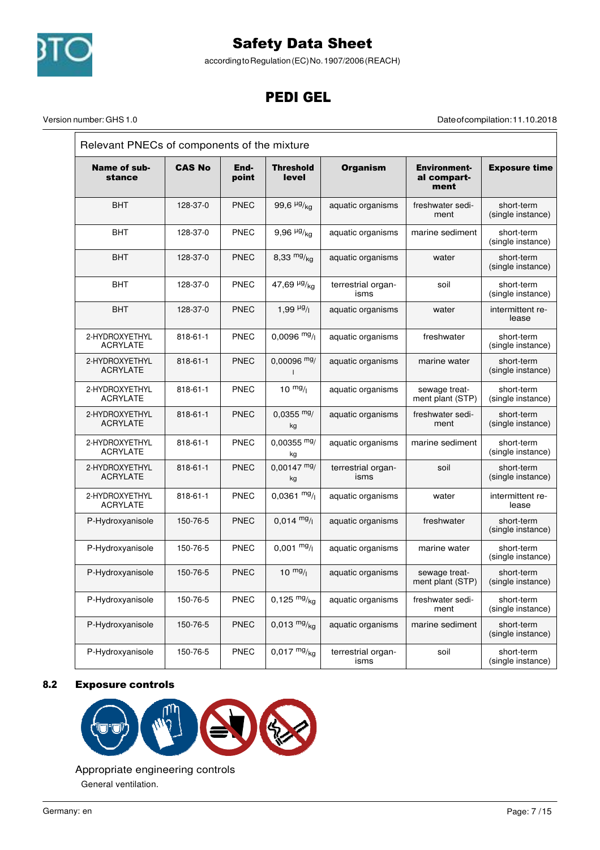

according to Regulation (EC) No. 1907/2006 (REACH)

# PEDI GEL

Version number: GHS 1.0 Date of compilation: 11.10.2018

| Relevant PNECs of components of the mixture |               |               |                                 |                            |                                     |                                 |  |
|---------------------------------------------|---------------|---------------|---------------------------------|----------------------------|-------------------------------------|---------------------------------|--|
| Name of sub-<br>stance                      | <b>CAS No</b> | End-<br>point | <b>Threshold</b><br>level       | <b>Organism</b>            | Environment-<br>al compart-<br>ment | <b>Exposure time</b>            |  |
| <b>BHT</b>                                  | 128-37-0      | <b>PNEC</b>   | 99,6 $\frac{\mu g}{\kappa q}$   | aquatic organisms          | freshwater sedi-<br>ment            | short-term<br>(single instance) |  |
| <b>BHT</b>                                  | 128-37-0      | <b>PNEC</b>   | 9,96 $\frac{\mu g}{kq}$         | aquatic organisms          | marine sediment                     | short-term<br>(single instance) |  |
| BHT                                         | 128-37-0      | <b>PNEC</b>   | 8,33 $mg/kg$                    | aquatic organisms          | water                               | short-term<br>(single instance) |  |
| BHT                                         | 128-37-0      | <b>PNEC</b>   | 47,69 $\frac{\mu g}{\text{kg}}$ | terrestrial organ-<br>isms | soil                                | short-term<br>(single instance) |  |
| <b>BHT</b>                                  | 128-37-0      | <b>PNEC</b>   | 1,99 $\mu$ g/                   | aquatic organisms          | water                               | intermittent re-<br>lease       |  |
| 2-HYDROXYETHYL<br><b>ACRYLATE</b>           | 818-61-1      | <b>PNEC</b>   | $0,0096$ mg/                    | aquatic organisms          | freshwater                          | short-term<br>(single instance) |  |
| 2-HYDROXYETHYL<br><b>ACRYLATE</b>           | 818-61-1      | <b>PNEC</b>   | $0,00096$ mg/                   | aquatic organisms          | marine water                        | short-term<br>(single instance) |  |
| 2-HYDROXYETHYL<br><b>ACRYLATE</b>           | 818-61-1      | <b>PNEC</b>   | 10 $mg/1$                       | aquatic organisms          | sewage treat-<br>ment plant (STP)   | short-term<br>(single instance) |  |
| 2-HYDROXYETHYL<br><b>ACRYLATE</b>           | 818-61-1      | <b>PNEC</b>   | $0,0355$ mg/<br>kg              | aquatic organisms          | freshwater sedi-<br>ment            | short-term<br>(single instance) |  |
| 2-HYDROXYETHYL<br><b>ACRYLATE</b>           | 818-61-1      | <b>PNEC</b>   | $0,00355$ mg/<br>kg             | aquatic organisms          | marine sediment                     | short-term<br>(single instance) |  |
| 2-HYDROXYETHYL<br><b>ACRYLATE</b>           | 818-61-1      | <b>PNEC</b>   | $0,00147 \text{ mg}$<br>kg      | terrestrial organ-<br>isms | soil                                | short-term<br>(single instance) |  |
| 2-HYDROXYETHYL<br><b>ACRYLATE</b>           | 818-61-1      | <b>PNEC</b>   | $0,0361$ mg/                    | aquatic organisms          | water                               | intermittent re-<br>lease       |  |
| P-Hydroxyanisole                            | 150-76-5      | <b>PNEC</b>   | $0.014 \text{ mg}/1$            | aquatic organisms          | freshwater                          | short-term<br>(single instance) |  |
| P-Hydroxyanisole                            | 150-76-5      | <b>PNEC</b>   | $0,001 \frac{mg}{l}$            | aquatic organisms          | marine water                        | short-term<br>(single instance) |  |
| P-Hydroxyanisole                            | 150-76-5      | <b>PNEC</b>   | $10^{mg}/l$                     | aquatic organisms          | sewage treat-<br>ment plant (STP)   | short-term<br>(single instance) |  |
| P-Hydroxyanisole                            | 150-76-5      | <b>PNEC</b>   | $0,125 \frac{mg}{kg}$           | aquatic organisms          | freshwater sedi-<br>ment            | short-term<br>(single instance) |  |
| P-Hydroxyanisole                            | 150-76-5      | PNEC          | $0,013 \frac{mg}{kg}$           | aquatic organisms          | marine sediment                     | short-term<br>(single instance) |  |
| P-Hydroxyanisole                            | 150-76-5      | <b>PNEC</b>   | $0,017 \frac{mg}{kg}$           | terrestrial organ-<br>isms | soil                                | short-term<br>(single instance) |  |

# 8.2 Exposure controls



Appropriate engineering controls General ventilation.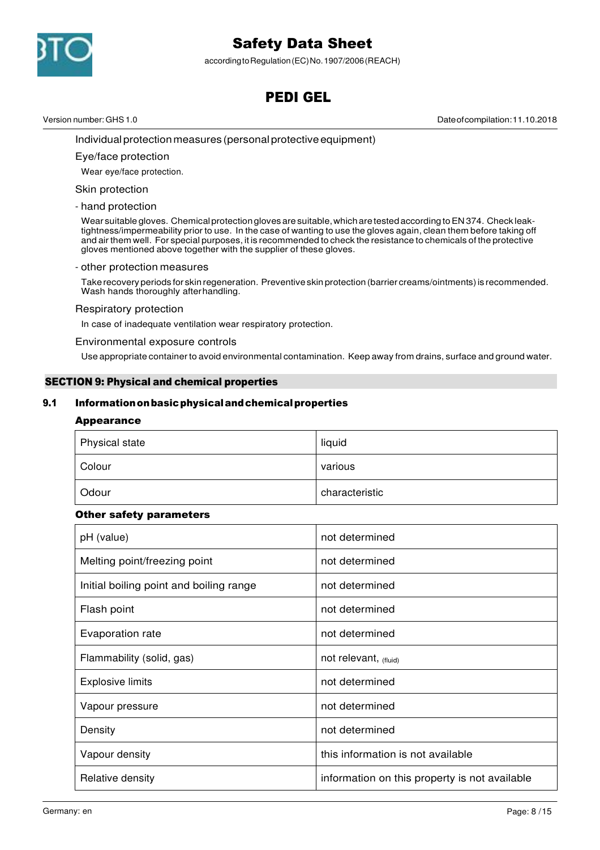

according to Regulation (EC) No. 1907/2006 (REACH)

# PEDI GEL

Version number: GHS 1.0 Date of compilation: 11.10.2018

Individual protection measures (personal protective equipment)

#### Eye/face protection

Wear eye/face protection.

#### Skin protection

#### - hand protection

Wear suitable gloves. Chemical protection gloves are suitable, which are tested according to EN 374. Check leaktightness/impermeability prior to use. In the case of wanting to use the gloves again, clean them before taking off and air them well. For special purposes, it is recommended to check the resistance to chemicals of the protective gloves mentioned above together with the supplier of these gloves.

#### - other protection measures

Take recovery periods for skin regeneration. Preventive skin protection (barrier creams/ointments) is recommended. Wash hands thoroughly after handling.

#### Respiratory protection

In case of inadequate ventilation wear respiratory protection.

#### Environmental exposure controls

Use appropriate container to avoid environmental contamination. Keep away from drains, surface and ground water.

## SECTION 9: Physical and chemical properties

## 9.1 Information on basic physical and chemical properties

#### Appearance

| Physical state | liquid         |
|----------------|----------------|
| Colour         | various        |
| Odour          | characteristic |

## Other safety parameters

| pH (value)                              | not determined                                |
|-----------------------------------------|-----------------------------------------------|
| Melting point/freezing point            | not determined                                |
| Initial boiling point and boiling range | not determined                                |
| Flash point                             | not determined                                |
| Evaporation rate                        | not determined                                |
| Flammability (solid, gas)               | not relevant, (fluid)                         |
| <b>Explosive limits</b>                 | not determined                                |
| Vapour pressure                         | not determined                                |
| Density                                 | not determined                                |
| Vapour density                          | this information is not available             |
| Relative density                        | information on this property is not available |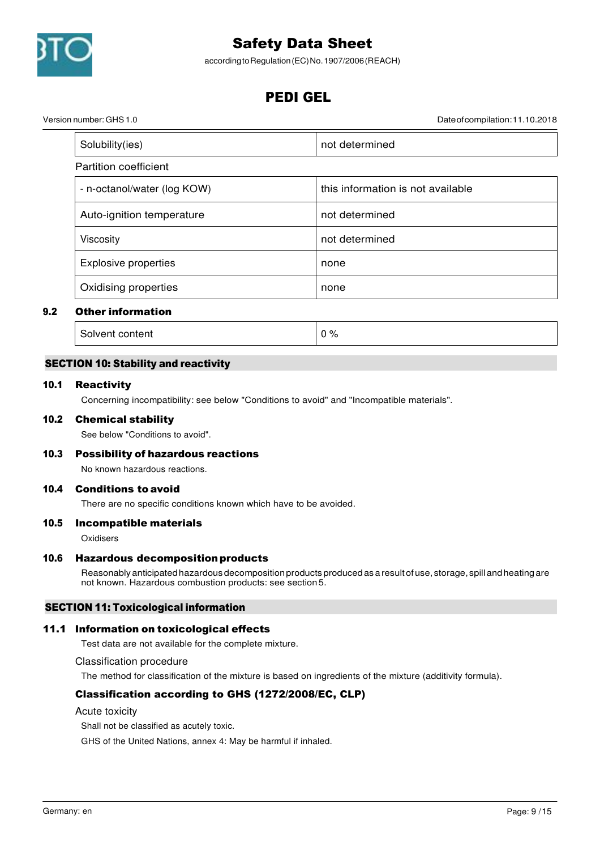

according to Regulation (EC) No. 1907/2006 (REACH)

# PEDI GEL

Version number: GHS 1.0 Date of compilation: 11.10.2018

| Solubility(ies)             | not determined                    |
|-----------------------------|-----------------------------------|
| Partition coefficient       |                                   |
| - n-octanol/water (log KOW) | this information is not available |
| Auto-ignition temperature   | not determined                    |
| Viscosity                   | not determined                    |
| Explosive properties        | none                              |
| Oxidising properties        | none                              |

# 9.2 Other information

Solvent content  $\begin{array}{ccc} \hline \end{array}$  0 %

# SECTION 10: Stability and reactivity

## 10.1 Reactivity

Concerning incompatibility: see below "Conditions to avoid" and "Incompatible materials".

## 10.2 Chemical stability

See below "Conditions to avoid".

# 10.3 Possibility of hazardous reactions

No known hazardous reactions.

## 10.4 Conditions to avoid

There are no specific conditions known which have to be avoided.

## 10.5 Incompatible materials

**Oxidisers** 

# 10.6 Hazardous decomposition products

Reasonably anticipated hazardous decomposition products produced as a result of use, storage, spill and heating are not known. Hazardous combustion products: see section 5.

# SECTION 11: Toxicological information

# 11.1 Information on toxicological effects

Test data are not available for the complete mixture.

Classification procedure

The method for classification of the mixture is based on ingredients of the mixture (additivity formula).

# Classification according to GHS (1272/2008/EC, CLP)

Acute toxicity

Shall not be classified as acutely toxic.

GHS of the United Nations, annex 4: May be harmful if inhaled.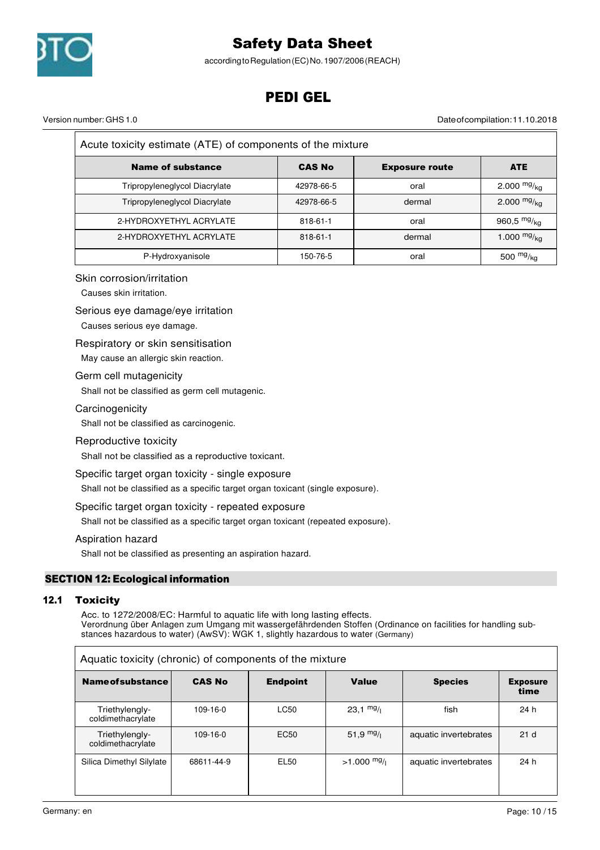

according to Regulation (EC) No. 1907/2006 (REACH)

# PEDI GEL

Version number: GHS 1.0 Date of compilation: 11.10.2018

| Acute toxicity estimate (ATE) of components of the mixture |                |                       |               |  |  |  |  |
|------------------------------------------------------------|----------------|-----------------------|---------------|--|--|--|--|
| <b>Name of substance</b>                                   | <b>CAS No</b>  | <b>Exposure route</b> | <b>ATE</b>    |  |  |  |  |
| Tripropyleneglycol Diacrylate                              | 42978-66-5     | oral                  | 2.000 $mg/kq$ |  |  |  |  |
| Tripropyleneglycol Diacrylate                              | 42978-66-5     | dermal                | 2.000 $mg/kq$ |  |  |  |  |
| 2-HYDROXYETHYL ACRYLATE                                    | $818 - 61 - 1$ | oral                  | 960,5 $mg/kg$ |  |  |  |  |
| 2-HYDROXYETHYL ACRYLATE                                    | $818 - 61 - 1$ | dermal                | 1.000 $mg/ka$ |  |  |  |  |
| P-Hydroxyanisole                                           | 150-76-5       | oral                  | 500 $mg/kg$   |  |  |  |  |

## Skin corrosion/irritation

Causes skin irritation.

#### Serious eye damage/eye irritation

Causes serious eye damage.

#### Respiratory or skin sensitisation

May cause an allergic skin reaction.

#### Germ cell mutagenicity

Shall not be classified as germ cell mutagenic.

## **Carcinogenicity**

Shall not be classified as carcinogenic.

## Reproductive toxicity

Shall not be classified as a reproductive toxicant.

#### Specific target organ toxicity - single exposure

Shall not be classified as a specific target organ toxicant (single exposure).

## Specific target organ toxicity - repeated exposure

Shall not be classified as a specific target organ toxicant (repeated exposure).

## Aspiration hazard

Shall not be classified as presenting an aspiration hazard.

# SECTION 12: Ecological information

## 12.1 Toxicity

Acc. to 1272/2008/EC: Harmful to aquatic life with long lasting effects. Verordnung über Anlagen zum Umgang mit wassergefährdenden Stoffen (Ordinance on facilities for handling substances hazardous to water) (AwSV): WGK 1, slightly hazardous to water (Germany)

| Aquatic toxicity (chronic) of components of the mixture |               |                  |                     |                       |                         |
|---------------------------------------------------------|---------------|------------------|---------------------|-----------------------|-------------------------|
| <b>Name of substance</b>                                | <b>CAS No</b> | <b>Endpoint</b>  | Value               | <b>Species</b>        | <b>Exposure</b><br>time |
| Triethylengly-<br>coldimethacrylate                     | $109-16-0$    | <b>LC50</b>      | $23,1 \frac{mg}{l}$ | fish                  | 24 h                    |
| Triethylengly-<br>coldimethacrylate                     | 109-16-0      | EC <sub>50</sub> | $51,9$ mg/          | aquatic invertebrates | 21 <sub>d</sub>         |
| Silica Dimethyl Silylate                                | 68611-44-9    | EL50             | $>1.000$ mg/        | aquatic invertebrates | 24 h                    |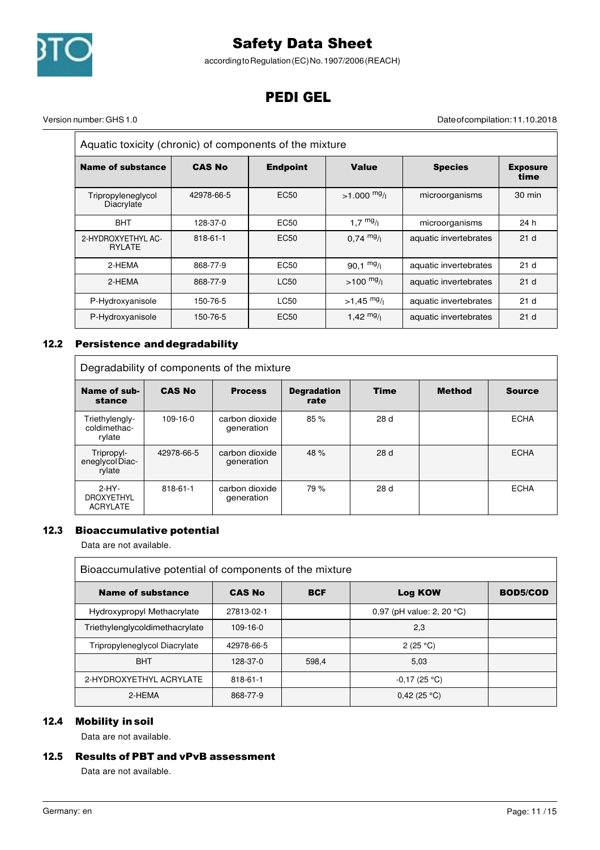

according to Regulation (EC) No. 1907/2006 (REACH)

# PEDI GEL

 $\overline{\phantom{a}}$ 

Version number: GHS 1.0 Date of compilation: 11.10.2018

 $\equiv$ 

| Aquatic toxicity (chronic) of components of the mixture |               |                  |                     |                       |                         |
|---------------------------------------------------------|---------------|------------------|---------------------|-----------------------|-------------------------|
| Name of substance                                       | <b>CAS No</b> | <b>Endpoint</b>  | <b>Value</b>        | <b>Species</b>        | <b>Exposure</b><br>time |
| Tripropyleneglycol<br>Diacrylate                        | 42978-66-5    | EC <sub>50</sub> | $>1.000$ mg/        | microorganisms        | 30 min                  |
| <b>BHT</b>                                              | 128-37-0      | EC <sub>50</sub> | 1,7 $mg/1$          | microorganisms        | 24 h                    |
| 2-HYDROXYETHYL AC-<br><b>RYLATE</b>                     | 818-61-1      | EC <sub>50</sub> | $0.74 \frac{mg}{l}$ | aquatic invertebrates | 21 <sub>d</sub>         |
| 2-HEMA                                                  | 868-77-9      | EC50             | $90.1 \frac{mg}{l}$ | aquatic invertebrates | 21 <sub>d</sub>         |
| 2-HEMA                                                  | 868-77-9      | LC50             | $>100$ mg/          | aquatic invertebrates | 21 <sub>d</sub>         |
| P-Hydroxyanisole                                        | 150-76-5      | LC50             | $>1.45$ mg/         | aquatic invertebrates | 21 <sub>d</sub>         |
| P-Hydroxyanisole                                        | 150-76-5      | EC <sub>50</sub> | 1.42 $mg/1$         | aquatic invertebrates | 21 <sub>d</sub>         |

# 12.2 Persistence and degradability

| Degradability of components of the mixture      |               |                              |                            |             |               |               |
|-------------------------------------------------|---------------|------------------------------|----------------------------|-------------|---------------|---------------|
| Name of sub-<br>stance                          | <b>CAS No</b> | <b>Process</b>               | <b>Degradation</b><br>rate | <b>Time</b> | <b>Method</b> | <b>Source</b> |
| Triethylengly-<br>coldimethac-<br>rylate        | 109-16-0      | carbon dioxide<br>generation | 85 %                       | 28 d        |               | <b>ECHA</b>   |
| Tripropyl-<br>eneglycol Diac-<br>rylate         | 42978-66-5    | carbon dioxide<br>generation | 48 %                       | 28d         |               | <b>ECHA</b>   |
| $2-HY-$<br><b>DROXYETHYL</b><br><b>ACRYLATE</b> | 818-61-1      | carbon dioxide<br>generation | 79 %                       | 28d         |               | <b>ECHA</b>   |

# 12.3 Bioaccumulative potential

Data are not available.

| Bioaccumulative potential of components of the mixture |                |            |                                     |                 |
|--------------------------------------------------------|----------------|------------|-------------------------------------|-----------------|
| Name of substance                                      | <b>CAS No</b>  | <b>BCF</b> | Log KOW                             | <b>BOD5/COD</b> |
| Hydroxypropyl Methacrylate                             | 27813-02-1     |            | 0,97 (pH value: 2, 20 $^{\circ}$ C) |                 |
| Triethylenglycoldimethacrylate                         | $109 - 16 - 0$ |            | 2,3                                 |                 |
| Tripropyleneglycol Diacrylate                          | 42978-66-5     |            | 2 (25 °C)                           |                 |
| <b>BHT</b>                                             | 128-37-0       | 598,4      | 5,03                                |                 |
| 2-HYDROXYETHYL ACRYLATE                                | 818-61-1       |            | $-0,17(25 °C)$                      |                 |
| 2-HEMA                                                 | 868-77-9       |            | 0,42(25 °C)                         |                 |

## 12.4 Mobility in soil

Data are not available.

# 12.5 Results of PBT and vPvB assessment

Data are not available.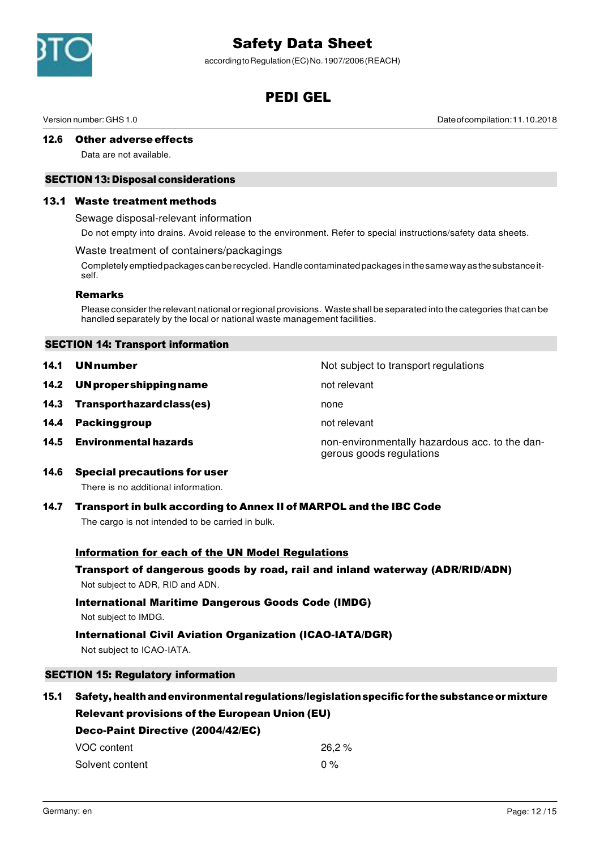

according to Regulation (EC) No. 1907/2006 (REACH)

# PEDI GEL

Version number: GHS 1.0 Date of compilation: 11.10.2018

# 12.6 Other adverse effects

Data are not available.

# SECTION 13: Disposal considerations

#### 13.1 Waste treatment methods

Sewage disposal-relevant information

Do not empty into drains. Avoid release to the environment. Refer to special instructions/safety data sheets.

#### Waste treatment of containers/packagings

Completely emptied packages can be recycled. Handle contaminated packages in the same way as the substance itself.

#### Remarks

Please consider the relevant national or regional provisions. Waste shall be separated into the categories that can be handled separately by the local or national waste management facilities.

## SECTION 14: Transport information

| 14.1 | <b>UNnumber</b>              | Not subject to transport regulations                                       |
|------|------------------------------|----------------------------------------------------------------------------|
| 14.2 | UN proper shipping name      | not relevant                                                               |
| 14.3 | Transport hazard class(es)   | none                                                                       |
| 14.4 | <b>Packing group</b>         | not relevant                                                               |
| 14.5 | <b>Environmental hazards</b> | non-environmentally hazardous acc. to the dan-<br>gerous goods regulations |

14.6 Special precautions for user

There is no additional information.

## 14.7 Transport in bulk according to Annex II of MARPOL and the IBC Code

The cargo is not intended to be carried in bulk.

## Information for each of the UN Model Regulations

# Transport of dangerous goods by road, rail and inland waterway (ADR/RID/ADN) Not subject to ADR, RID and ADN.

# International Maritime Dangerous Goods Code (IMDG)

Not subject to IMDG.

## International Civil Aviation Organization (ICAO-IATA/DGR)

Not subject to ICAO-IATA.

## SECTION 15: Regulatory information

# 15.1 Safety, health and environmental regulations/legislation specific for the substance or mixture Relevant provisions of the European Union (EU)

| Deco-Paint Directive (2004/42/EC) |        |  |  |
|-----------------------------------|--------|--|--|
| VOC content                       | 26.2 % |  |  |
| Solvent content                   | $0\%$  |  |  |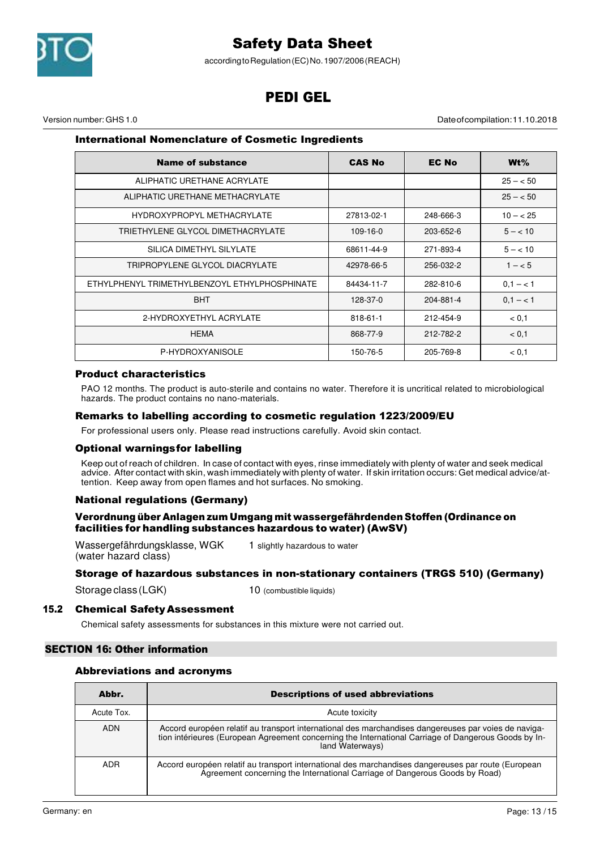

according to Regulation (EC) No. 1907/2006 (REACH)

# PEDI GEL

Version number: GHS 1.0 Date of compilation: 11.10.2018

## International Nomenclature of Cosmetic Ingredients

| <b>Name of substance</b>                      | <b>CAS No</b>  | <b>EC No</b> | $Wt\%$      |
|-----------------------------------------------|----------------|--------------|-------------|
| ALIPHATIC URETHANE ACRYLATE                   |                |              | $25 - 50$   |
| ALIPHATIC URETHANE METHACRYLATE               |                |              | $25 - 50$   |
| HYDROXYPROPYL METHACRYLATE                    | 27813-02-1     | 248-666-3    | $10 - 25$   |
| TRIETHYLENE GLYCOL DIMETHACRYLATE             | $109 - 16 - 0$ | 203-652-6    | $5 - < 10$  |
| SILICA DIMETHYL SILYLATE                      | 68611-44-9     | 271-893-4    | $5 - < 10$  |
| TRIPROPYLENE GLYCOL DIACRYLATE                | 42978-66-5     | 256-032-2    | $1 - 5$     |
| ETHYLPHENYL TRIMETHYLBENZOYL ETHYLPHOSPHINATE | 84434-11-7     | 282-810-6    | $0.1 - < 1$ |
| <b>BHT</b>                                    | 128-37-0       | 204-881-4    | $0.1 - < 1$ |
| 2-HYDROXYETHYL ACRYLATE                       | $818 - 61 - 1$ | 212-454-9    | < 0,1       |
| <b>HEMA</b>                                   | 868-77-9       | 212-782-2    | < 0.1       |
| P-HYDROXYANISOLE                              | 150-76-5       | 205-769-8    | < 0.1       |

#### Product characteristics

PAO 12 months. The product is auto-sterile and contains no water. Therefore it is uncritical related to microbiological hazards. The product contains no nano-materials.

## Remarks to labelling according to cosmetic regulation 1223/2009/EU

For professional users only. Please read instructions carefully. Avoid skin contact.

## Optional warnings for labelling

Keep out of reach of children. In case of contact with eyes, rinse immediately with plenty of water and seek medical advice. After contact with skin, wash immediately with plenty of water. If skin irritation occurs: Get medical advice/attention. Keep away from open flames and hot surfaces. No smoking.

# National regulations (Germany)

#### Verordnung über Anlagen zum Umgang mit wassergefährdenden Stoffen (Ordinance on facilities for handling substances hazardous to water) (AwSV)

Wassergefährdungsklasse, WGK (water hazard class) 1 slightly hazardous to water

## Storage of hazardous substances in non-stationary containers (TRGS 510) (Germany)

Storage class (LGK) 10 (combustible liquids)

## 15.2 Chemical Safety Assessment

Chemical safety assessments for substances in this mixture were not carried out.

## SECTION 16: Other information

#### Abbreviations and acronyms

| Abbr.      | <b>Descriptions of used abbreviations</b>                                                                                                                                                                                       |
|------------|---------------------------------------------------------------------------------------------------------------------------------------------------------------------------------------------------------------------------------|
| Acute Tox. | Acute toxicity                                                                                                                                                                                                                  |
| <b>ADN</b> | Accord européen relatif au transport international des marchandises dangereuses par voies de naviga-<br>tion intérieures (European Agreement concerning the International Carriage of Dangerous Goods by In-<br>land Waterways) |
| <b>ADR</b> | Accord européen relatif au transport international des marchandises dangereuses par route (European<br>Agreement concerning the International Carriage of Dangerous Goods by Road)                                              |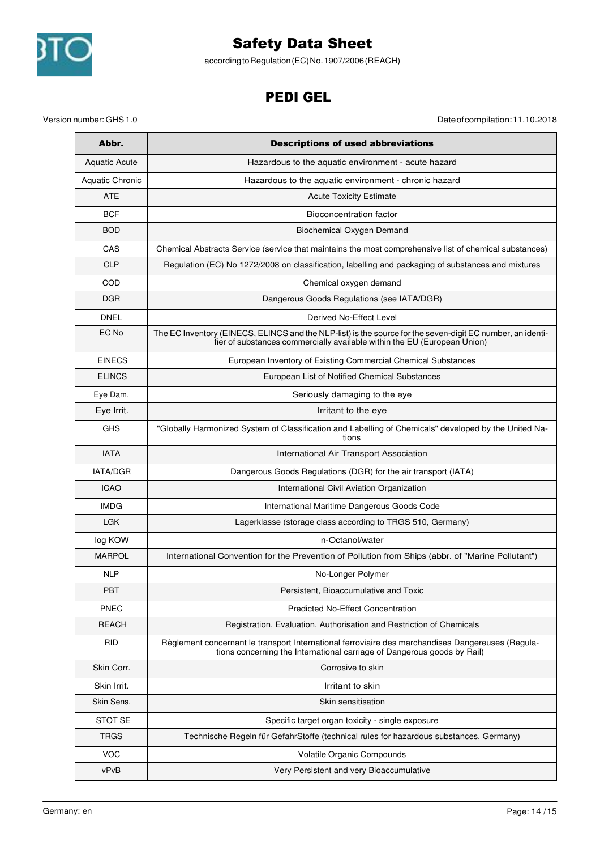

according to Regulation (EC) No. 1907/2006 (REACH)

# PEDI GEL

Version number: GHS 1.0 Date of compilation: 11.10.2018

| Abbr.                  | <b>Descriptions of used abbreviations</b>                                                                                                                                              |  |
|------------------------|----------------------------------------------------------------------------------------------------------------------------------------------------------------------------------------|--|
| <b>Aquatic Acute</b>   | Hazardous to the aquatic environment - acute hazard                                                                                                                                    |  |
| <b>Aquatic Chronic</b> | Hazardous to the aquatic environment - chronic hazard                                                                                                                                  |  |
| <b>ATE</b>             | <b>Acute Toxicity Estimate</b>                                                                                                                                                         |  |
| <b>BCF</b>             | Bioconcentration factor                                                                                                                                                                |  |
| <b>BOD</b>             | Biochemical Oxygen Demand                                                                                                                                                              |  |
| CAS                    | Chemical Abstracts Service (service that maintains the most comprehensive list of chemical substances)                                                                                 |  |
| <b>CLP</b>             | Regulation (EC) No 1272/2008 on classification, labelling and packaging of substances and mixtures                                                                                     |  |
| COD                    | Chemical oxygen demand                                                                                                                                                                 |  |
| <b>DGR</b>             | Dangerous Goods Regulations (see IATA/DGR)                                                                                                                                             |  |
| <b>DNEL</b>            | Derived No-Effect Level                                                                                                                                                                |  |
| EC No                  | The EC Inventory (EINECS, ELINCS and the NLP-list) is the source for the seven-digit EC number, an identi-<br>fier of substances commercially available within the EU (European Union) |  |
| <b>EINECS</b>          | European Inventory of Existing Commercial Chemical Substances                                                                                                                          |  |
| <b>ELINCS</b>          | European List of Notified Chemical Substances                                                                                                                                          |  |
| Eve Dam.               | Seriously damaging to the eye                                                                                                                                                          |  |
| Eye Irrit.             | Irritant to the eye                                                                                                                                                                    |  |
| <b>GHS</b>             | "Globally Harmonized System of Classification and Labelling of Chemicals" developed by the United Na-<br>tions                                                                         |  |
| <b>IATA</b>            | International Air Transport Association                                                                                                                                                |  |
| <b>IATA/DGR</b>        | Dangerous Goods Regulations (DGR) for the air transport (IATA)                                                                                                                         |  |
| <b>ICAO</b>            | International Civil Aviation Organization                                                                                                                                              |  |
| <b>IMDG</b>            | International Maritime Dangerous Goods Code                                                                                                                                            |  |
| <b>LGK</b>             | Lagerklasse (storage class according to TRGS 510, Germany)                                                                                                                             |  |
| log KOW                | n-Octanol/water                                                                                                                                                                        |  |
| <b>MARPOL</b>          | International Convention for the Prevention of Pollution from Ships (abbr. of "Marine Pollutant")                                                                                      |  |
| <b>NLP</b>             | No-Longer Polymer                                                                                                                                                                      |  |
| <b>PBT</b>             | Persistent, Bioaccumulative and Toxic                                                                                                                                                  |  |
| PNEC                   | <b>Predicted No-Effect Concentration</b>                                                                                                                                               |  |
| <b>REACH</b>           | Registration, Evaluation, Authorisation and Restriction of Chemicals                                                                                                                   |  |
| <b>RID</b>             | Règlement concernant le transport International ferroviaire des marchandises Dangereuses (Regula-<br>tions concerning the International carriage of Dangerous goods by Rail)           |  |
| Skin Corr.             | Corrosive to skin                                                                                                                                                                      |  |
| Skin Irrit.            | Irritant to skin                                                                                                                                                                       |  |
| Skin Sens.             | Skin sensitisation                                                                                                                                                                     |  |
| <b>STOT SE</b>         | Specific target organ toxicity - single exposure                                                                                                                                       |  |
| <b>TRGS</b>            | Technische Regeln für GefahrStoffe (technical rules for hazardous substances, Germany)                                                                                                 |  |
| <b>VOC</b>             | Volatile Organic Compounds                                                                                                                                                             |  |
| vPvB                   | Very Persistent and very Bioaccumulative                                                                                                                                               |  |